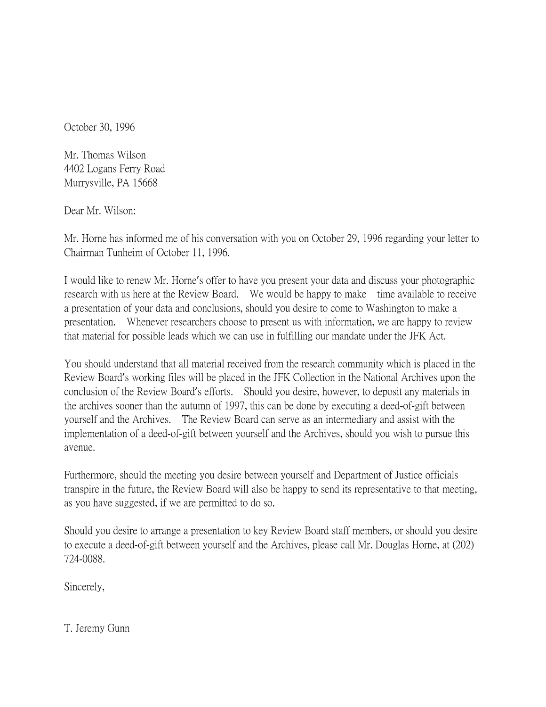October 30, 1996

Mr. Thomas Wilson 4402 Logans Ferry Road Murrysville, PA 15668

Dear Mr. Wilson:

Mr. Horne has informed me of his conversation with you on October 29, 1996 regarding your letter to Chairman Tunheim of October 11, 1996.

I would like to renew Mr. Horne's offer to have you present your data and discuss your photographic research with us here at the Review Board. We would be happy to make time available to receive a presentation of your data and conclusions, should you desire to come to Washington to make a presentation. Whenever researchers choose to present us with information, we are happy to review that material for possible leads which we can use in fulfilling our mandate under the JFK Act.

You should understand that all material received from the research community which is placed in the Review Board's working files will be placed in the JFK Collection in the National Archives upon the conclusion of the Review Board's efforts. Should you desire, however, to deposit any materials in the archives sooner than the autumn of 1997, this can be done by executing a deed-of-gift between yourself and the Archives. The Review Board can serve as an intermediary and assist with the implementation of a deed-of-gift between yourself and the Archives, should you wish to pursue this avenue.

Furthermore, should the meeting you desire between yourself and Department of Justice officials transpire in the future, the Review Board will also be happy to send its representative to that meeting, as you have suggested, if we are permitted to do so.

Should you desire to arrange a presentation to key Review Board staff members, or should you desire to execute a deed-of-gift between yourself and the Archives, please call Mr. Douglas Horne, at (202) 724-0088.

Sincerely,

T. Jeremy Gunn